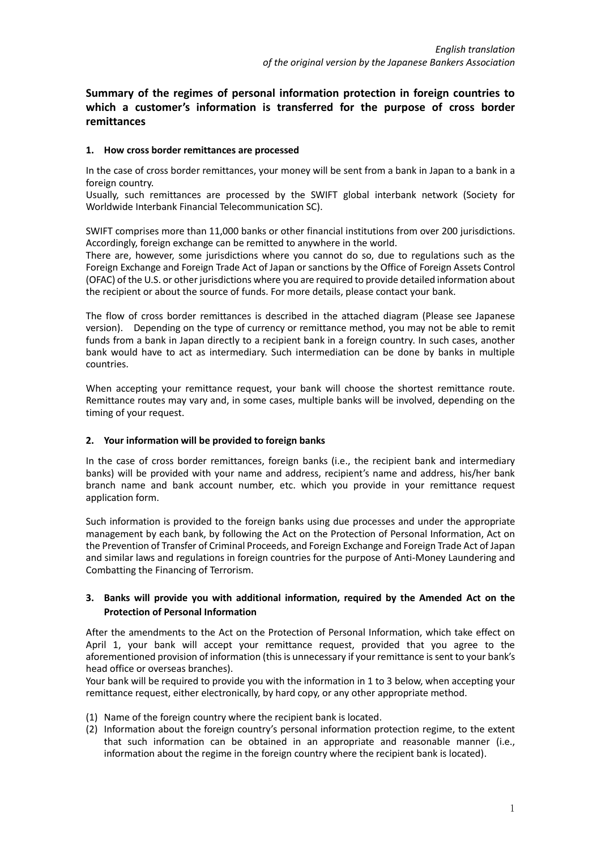**Summary of the regimes of personal information protection in foreign countries to which a customer's information is transferred for the purpose of cross border remittances**

## **1. How cross border remittances are processed**

In the case of cross border remittances, your money will be sent from a bank in Japan to a bank in a foreign country.

Usually, such remittances are processed by the SWIFT global interbank network (Society for Worldwide Interbank Financial Telecommunication SC).

SWIFT comprises more than 11,000 banks or other financial institutions from over 200 jurisdictions. Accordingly, foreign exchange can be remitted to anywhere in the world.

There are, however, some jurisdictions where you cannot do so, due to regulations such as the Foreign Exchange and Foreign Trade Act of Japan or sanctions by the Office of Foreign Assets Control (OFAC) of the U.S. or other jurisdictions where you are required to provide detailed information about the recipient or about the source of funds. For more details, please contact your bank.

The flow of cross border remittances is described in the attached diagram (Please see Japanese version). Depending on the type of currency or remittance method, you may not be able to remit funds from a bank in Japan directly to a recipient bank in a foreign country. In such cases, another bank would have to act as intermediary. Such intermediation can be done by banks in multiple countries.

When accepting your remittance request, your bank will choose the shortest remittance route. Remittance routes may vary and, in some cases, multiple banks will be involved, depending on the timing of your request.

## **2. Your information will be provided to foreign banks**

In the case of cross border remittances, foreign banks (i.e., the recipient bank and intermediary banks) will be provided with your name and address, recipient's name and address, his/her bank branch name and bank account number, etc. which you provide in your remittance request application form.

Such information is provided to the foreign banks using due processes and under the appropriate management by each bank, by following the Act on the Protection of Personal Information, Act on the Prevention of Transfer of Criminal Proceeds, and Foreign Exchange and Foreign Trade Act of Japan and similar laws and regulations in foreign countries for the purpose of Anti-Money Laundering and Combatting the Financing of Terrorism.

## **3. Banks will provide you with additional information, required by the Amended Act on the Protection of Personal Information**

After the amendments to the Act on the Protection of Personal Information, which take effect on April 1, your bank will accept your remittance request, provided that you agree to the aforementioned provision of information (this is unnecessary if your remittance is sent to your bank's head office or overseas branches).

Your bank will be required to provide you with the information in 1 to 3 below, when accepting your remittance request, either electronically, by hard copy, or any other appropriate method.

- (1) Name of the foreign country where the recipient bank is located.
- (2) Information about the foreign country's personal information protection regime, to the extent that such information can be obtained in an appropriate and reasonable manner (i.e., information about the regime in the foreign country where the recipient bank is located).